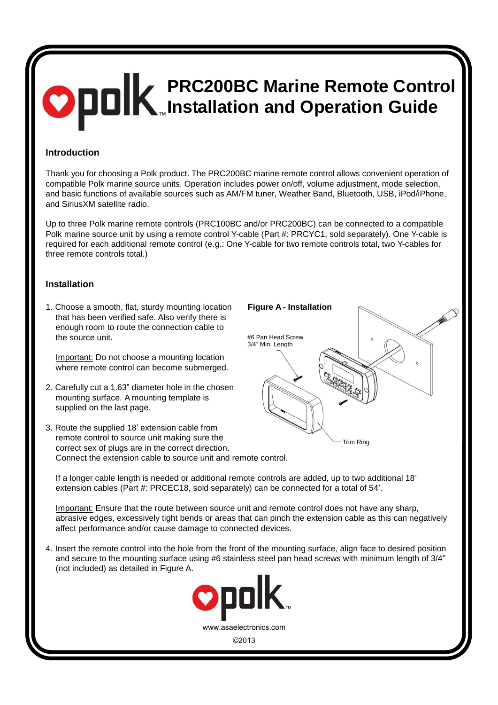# **PRC200BC Marine Remote Control Installation and Operation Guide**

### **Introduction**

Thank you for choosing a Polk product. The PRC200BC marine remote control allows convenient operation of compatible Polk marine source units. Operation includes power on/off, volume adjustment, mode selection, and basic functions of available sources such as AM/FM tuner, Weather Band, Bluetooth, USB, iPod/iPhone, and SiriusXM satellite radio.

Up to three Polk marine remote controls (PRC100BC and/or PRC200BC) can be connected to a compatible Polk marine source unit by using a remote control Y-cable (Part #: PRCYC1, sold separately). One Y-cable is required for each additional remote control (e.g.: One Y-cable for two remote controls total, two Y-cables for three remote controls total.)

#### **Installation**

1. Choose a smooth, flat, sturdy mounting location that has been verified safe. Also verify there is enough room to route the connection cable to the source unit.

Important: Do not choose a mounting location where remote control can become submerged.

- 2. Carefully cut a 1.63" diameter hole in the chosen mounting surface. A mounting template is supplied on the last page.
- Trim Ring **Figure A - Installation** #6 Pan Head Screw 3/4" Min. Length
- 3. Route the supplied 18' extension cable from remote control to source unit making sure the correct sex of plugs are in the correct direction. Connect the extension cable to source unit and remote control.

If a longer cable length is needed or additional remote controls are added, up to two additional 18' extension cables (Part #: PRCEC18, sold separately) can be connected for a total of 54'.

Important: Ensure that the route between source unit and remote control does not have any sharp, abrasive edges, excessively tight bends or areas that can pinch the extension cable as this can negatively affect performance and/or cause damage to connected devices.

4. Insert the remote control into the hole from the front of the mounting surface, align face to desired position and secure to the mounting surface using #6 stainless steel pan head screws with minimum length of 3/4" (not included) as detailed in Figure A.

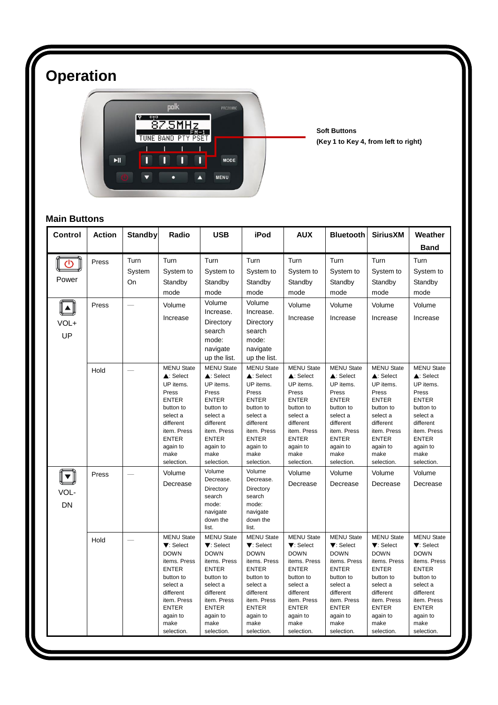# **Operation**



**Soft Buttons (Key 1 to Key 4, from left to right)**

# **Main Buttons**

| Control   | <b>Action</b> | <b>Standby</b> | Radio                       | <b>USB</b>                  | iPod                        | <b>AUX</b>                  | <b>Bluetooth</b>            | <b>SiriusXM</b>             | Weather                     |
|-----------|---------------|----------------|-----------------------------|-----------------------------|-----------------------------|-----------------------------|-----------------------------|-----------------------------|-----------------------------|
|           |               |                |                             |                             |                             |                             |                             |                             | <b>Band</b>                 |
| ረካ        | Press         | Turn           | Turn                        | Turn                        | Turn                        | Turn                        | Turn                        | Turn                        | Turn                        |
|           |               | System         | System to                   | System to                   | System to                   | System to                   | System to                   | System to                   | System to                   |
| Power     |               | On             | Standby                     | Standby                     | Standby                     | Standby                     | Standby                     | Standby                     | Standby                     |
|           |               |                | mode                        | mode                        | mode                        | mode                        | mode                        | mode                        | mode                        |
|           | Press         |                | Volume                      | Volume                      | Volume                      | Volume                      | Volume                      | Volume                      | Volume                      |
|           |               |                | Increase                    | Increase.                   | Increase.                   | Increase                    | Increase                    | Increase                    | Increase                    |
| VOL+      |               |                |                             | Directory                   | Directory                   |                             |                             |                             |                             |
| UP        |               |                |                             | search<br>mode:             | search<br>mode:             |                             |                             |                             |                             |
|           |               |                |                             | navigate                    | navigate                    |                             |                             |                             |                             |
|           |               |                |                             | up the list.                | up the list.                |                             |                             |                             |                             |
|           |               |                | <b>MENU State</b>           | <b>MENU State</b>           | <b>MENU State</b>           | <b>MENU State</b>           | <b>MENU State</b>           | <b>MENU State</b>           | <b>MENU State</b>           |
|           | Hold          |                | ▲: Select                   | ▲: Select                   | $\triangle$ : Select        | ▲: Select                   | ▲: Select                   | ▲: Select                   | ▲: Select                   |
|           |               |                | UP items.                   | UP items.                   | UP items.                   | UP items.                   | UP items.                   | UP items.                   | UP items.                   |
|           |               |                | Press                       | Press                       | Press                       | Press                       | Press                       | Press                       | Press                       |
|           |               |                | <b>ENTER</b><br>button to   | <b>ENTER</b><br>button to   | <b>ENTER</b><br>button to   | <b>ENTER</b><br>button to   | <b>ENTER</b><br>button to   | <b>ENTER</b><br>button to   | <b>ENTER</b><br>button to   |
|           |               |                | select a                    | select a                    | select a                    | select a                    | select a                    | select a                    | select a                    |
|           |               |                | different                   | different                   | different                   | different                   | different                   | different                   | different                   |
|           |               |                | item. Press                 | item. Press                 | item. Press                 | item. Press                 | item. Press                 | item. Press                 | item. Press                 |
|           |               |                | <b>ENTER</b>                | <b>ENTER</b>                | <b>ENTER</b>                | <b>ENTER</b>                | <b>ENTER</b>                | <b>ENTER</b>                | <b>ENTER</b>                |
|           |               |                | again to<br>make            | again to<br>make            | again to<br>make            | again to<br>make            | again to<br>make            | again to<br>make            | again to<br>make            |
|           |               |                | selection.                  | selection.                  | selection.                  | selection.                  | selection.                  | selection.                  | selection.                  |
|           | Press         |                | Volume                      | Volume                      | Volume                      | Volume                      | Volume                      | Volume                      | Volume                      |
|           |               |                | Decrease                    | Decrease.                   | Decrease.                   | Decrease                    | Decrease                    | Decrease                    | Decrease                    |
| VOL-      |               |                |                             | Directory                   | Directory                   |                             |                             |                             |                             |
|           |               |                |                             | search                      | search                      |                             |                             |                             |                             |
| <b>DN</b> |               |                |                             | mode:<br>navigate           | mode:<br>navigate           |                             |                             |                             |                             |
|           |               |                |                             | down the                    | down the                    |                             |                             |                             |                             |
|           |               |                |                             | list.                       | list.                       |                             |                             |                             |                             |
|           | Hold          |                | <b>MENU State</b>           | <b>MENU State</b>           | <b>MENU State</b>           | <b>MENU State</b>           | <b>MENU State</b>           | <b>MENU State</b>           | <b>MENU State</b>           |
|           |               |                | ▼: Select                   | $\nabla$ : Select           | $\nabla$ : Select           | $\nabla$ : Select           | ▼: Select                   | ▼: Select                   | ▼: Select                   |
|           |               |                | <b>DOWN</b><br>items. Press | <b>DOWN</b><br>items. Press | <b>DOWN</b><br>items. Press | <b>DOWN</b><br>items. Press | <b>DOWN</b><br>items. Press | <b>DOWN</b><br>items. Press | <b>DOWN</b><br>items. Press |
|           |               |                | <b>ENTER</b>                | <b>ENTER</b>                | <b>ENTER</b>                | <b>ENTER</b>                | <b>ENTER</b>                | <b>ENTER</b>                | <b>ENTER</b>                |
|           |               |                | button to                   | button to                   | button to                   | button to                   | button to                   | button to                   | button to                   |
|           |               |                | select a                    | select a                    | select a                    | select a                    | select a                    | select a                    | select a                    |
|           |               |                | different                   | different                   | different                   | different                   | different                   | different                   | different                   |
|           |               |                | item. Press<br><b>ENTER</b> | item. Press<br><b>ENTER</b> | item. Press<br><b>ENTER</b> | item. Press<br><b>ENTER</b> | item. Press<br><b>ENTER</b> | item. Press<br><b>ENTER</b> | item. Press<br><b>ENTER</b> |
|           |               |                | again to                    | again to                    | again to                    | again to                    | again to                    | again to                    | again to                    |
|           |               |                | make                        | make                        | make                        | make                        | make                        | make                        | make                        |
|           |               |                | selection.                  | selection.                  | selection.                  | selection.                  | selection.                  | selection.                  | selection.                  |
|           |               |                |                             |                             |                             |                             |                             |                             |                             |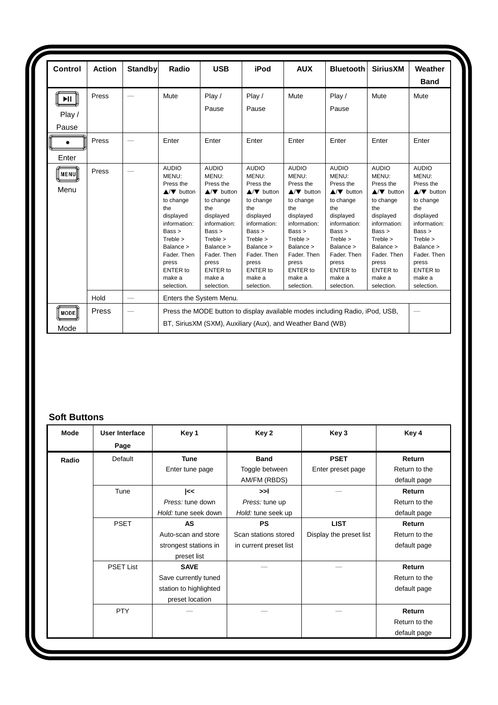| Control                  | <b>Action</b> | <b>Standby</b> | Radio                                                                                                                                           | <b>USB</b>                                                                                                                                             | iPod                                                                                                                                                   | <b>AUX</b>                                                                                                                                             | <b>Bluetooth</b>                                                                                                                                       | <b>Sirius XM</b>                                                                                                                                       | Weather<br><b>Band</b>                                                                                                                                 |
|--------------------------|---------------|----------------|-------------------------------------------------------------------------------------------------------------------------------------------------|--------------------------------------------------------------------------------------------------------------------------------------------------------|--------------------------------------------------------------------------------------------------------------------------------------------------------|--------------------------------------------------------------------------------------------------------------------------------------------------------|--------------------------------------------------------------------------------------------------------------------------------------------------------|--------------------------------------------------------------------------------------------------------------------------------------------------------|--------------------------------------------------------------------------------------------------------------------------------------------------------|
| $\blacktriangleright$ ll | Press         |                | Mute                                                                                                                                            | Play /                                                                                                                                                 | Play $/$                                                                                                                                               | Mute                                                                                                                                                   | Play/                                                                                                                                                  | Mute                                                                                                                                                   | Mute                                                                                                                                                   |
| Play /                   |               |                |                                                                                                                                                 | Pause                                                                                                                                                  | Pause                                                                                                                                                  |                                                                                                                                                        | Pause                                                                                                                                                  |                                                                                                                                                        |                                                                                                                                                        |
| Pause                    |               |                |                                                                                                                                                 |                                                                                                                                                        |                                                                                                                                                        |                                                                                                                                                        |                                                                                                                                                        |                                                                                                                                                        |                                                                                                                                                        |
| Enter                    | Press         |                | Enter                                                                                                                                           | Enter                                                                                                                                                  | Enter                                                                                                                                                  | Enter                                                                                                                                                  | Enter                                                                                                                                                  | Enter                                                                                                                                                  | Enter                                                                                                                                                  |
| <b>   MENU  </b><br>Menu | Press         |                | <b>AUDIO</b><br>MENU:<br>Press the<br>$\triangle/\blacktriangledown$ button                                                                     | <b>AUDIO</b><br>MENU:<br>Press the<br>$\triangle/\blacktriangledown$ button                                                                            | <b>AUDIO</b><br>MENU:<br>Press the<br>$\triangle/\blacktriangledown$ button                                                                            | <b>AUDIO</b><br>MENU:<br>Press the<br>$\triangle/\blacktriangledown$ button                                                                            | <b>AUDIO</b><br>MENU:<br>Press the<br>$\triangle/\blacktriangledown$ button                                                                            | <b>AUDIO</b><br>MENU:<br>Press the<br>$\triangle/\blacktriangledown$ button                                                                            | <b>AUDIO</b><br>MENU:<br>Press the<br>$\triangle/\blacktriangledown$ button                                                                            |
|                          |               |                | to change<br>the<br>displayed<br>information:<br>Bass<br>$T$ reble $>$<br>Balance ><br>Fader. Then<br>press<br>ENTER to<br>make a<br>selection. | to change<br>the<br>displayed<br>information:<br>Bass<br>$T$ reble $>$<br>Balance ><br>Fader, Then<br>press<br><b>ENTER to</b><br>make a<br>selection. | to change<br>the<br>displayed<br>information:<br>Bass<br>$T$ reble $>$<br>Balance ><br>Fader, Then<br>press<br><b>ENTER</b> to<br>make a<br>selection. | to change<br>the<br>displayed<br>information:<br>Bass<br>$T$ reble $>$<br>Balance ><br>Fader, Then<br>press<br><b>ENTER to</b><br>make a<br>selection. | to change<br>the<br>displayed<br>information:<br>Bass<br>$T$ reble $>$<br>Balance ><br>Fader. Then<br>press<br><b>ENTER to</b><br>make a<br>selection. | to change<br>the<br>displayed<br>information:<br>Bass<br>$T$ reble $>$<br>Balance ><br>Fader. Then<br>press<br><b>ENTER to</b><br>make a<br>selection. | to change<br>the<br>displayed<br>information:<br>Bass<br>$T$ reble $>$<br>Balance ><br>Fader. Then<br>press<br><b>ENTER to</b><br>make a<br>selection. |
|                          | Hold          |                |                                                                                                                                                 | Enters the System Menu.                                                                                                                                |                                                                                                                                                        |                                                                                                                                                        |                                                                                                                                                        |                                                                                                                                                        |                                                                                                                                                        |
| MODE                     | Press         |                | Press the MODE button to display available modes including Radio, iPod, USB,<br>BT, SiriusXM (SXM), Auxiliary (Aux), and Weather Band (WB)      |                                                                                                                                                        |                                                                                                                                                        |                                                                                                                                                        |                                                                                                                                                        |                                                                                                                                                        |                                                                                                                                                        |

## **Soft Buttons**

| Mode  | User Interface<br>Page | Key 1                  | Key 2                  | Key 3                   | Key 4         |
|-------|------------------------|------------------------|------------------------|-------------------------|---------------|
| Radio | Default                | <b>Tune</b>            | <b>Band</b>            | <b>PSET</b>             | Return        |
|       |                        | Enter tune page        | Toggle between         | Enter preset page       | Return to the |
|       |                        |                        | AM/FM (RBDS)           |                         | default page  |
|       | Tune                   | <<                     | >>1                    |                         | Return        |
|       |                        | Press: tune down       | Press: tune up         |                         | Return to the |
|       |                        | Hold: tune seek down   | Hold: tune seek up     |                         | default page  |
|       | <b>PSET</b>            | AS                     | <b>PS</b>              | <b>LIST</b>             | Return        |
|       |                        | Auto-scan and store    | Scan stations stored   | Display the preset list | Return to the |
|       |                        | strongest stations in  | in current preset list |                         | default page  |
|       |                        | preset list            |                        |                         |               |
|       | <b>PSET List</b>       | <b>SAVE</b>            |                        |                         | Return        |
|       |                        | Save currently tuned   |                        |                         | Return to the |
|       |                        | station to highlighted |                        |                         | default page  |
|       |                        | preset location        |                        |                         |               |
|       | <b>PTY</b>             |                        |                        |                         | Return        |
|       |                        |                        |                        |                         | Return to the |
|       |                        |                        |                        |                         | default page  |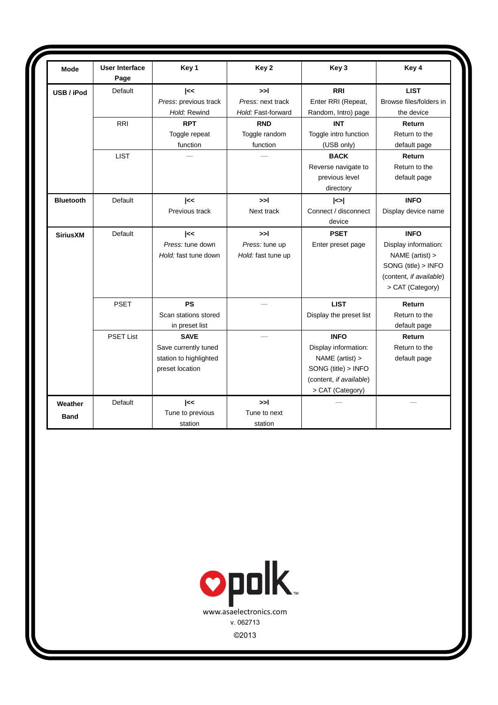| Mode             | <b>User Interface</b><br>Page | Key 1                  | Key 2              | Key 3                   | Key 4                   |
|------------------|-------------------------------|------------------------|--------------------|-------------------------|-------------------------|
| USB / iPod       | Default                       | $\mathsf{K}$           | >1                 | <b>RRI</b>              | <b>LIST</b>             |
|                  |                               | Press: previous track  | Press: next track  | Enter RRI (Repeat,      | Browse files/folders in |
|                  |                               | Hold: Rewind           | Hold: Fast-forward | Random, Intro) page     | the device              |
|                  | <b>RRI</b>                    | <b>RPT</b>             | <b>RND</b>         | <b>INT</b>              | Return                  |
|                  |                               | Toggle repeat          | Toggle random      | Toggle intro function   | Return to the           |
|                  |                               | function               | function           | (USB only)              | default page            |
|                  | <b>LIST</b>                   |                        |                    | <b>BACK</b>             | Return                  |
|                  |                               |                        |                    | Reverse navigate to     | Return to the           |
|                  |                               |                        |                    | previous level          | default page            |
|                  |                               |                        |                    | directory               |                         |
| <b>Bluetooth</b> | Default                       | <<                     | >>l                | $\leq$                  | <b>INFO</b>             |
|                  |                               | Previous track         | Next track         | Connect / disconnect    | Display device name     |
|                  |                               |                        |                    | device                  |                         |
| <b>SiriusXM</b>  | Default                       | $\mid <$               | >1                 | <b>PSET</b>             | <b>INFO</b>             |
|                  |                               | Press: tune down       | Press: tune up     | Enter preset page       | Display information:    |
|                  |                               | Hold: fast tune down   | Hold: fast tune up |                         | NAME (artist) >         |
|                  |                               |                        |                    |                         | SONG (title) > INFO     |
|                  |                               |                        |                    |                         | (content, if available) |
|                  |                               |                        |                    |                         | > CAT (Category)        |
|                  | <b>PSET</b>                   | <b>PS</b>              |                    | <b>LIST</b>             | Return                  |
|                  |                               | Scan stations stored   |                    | Display the preset list | Return to the           |
|                  |                               | in preset list         |                    |                         | default page            |
|                  | <b>PSET List</b>              | <b>SAVE</b>            |                    | <b>INFO</b>             | Return                  |
|                  |                               | Save currently tuned   |                    | Display information:    | Return to the           |
|                  |                               | station to highlighted |                    | NAME (artist) >         | default page            |
|                  |                               | preset location        |                    | SONG (title) > INFO     |                         |
|                  |                               |                        |                    | (content, if available) |                         |
|                  |                               |                        |                    | > CAT (Category)        |                         |
| Weather          | Default                       | <<                     | >1                 |                         |                         |
| <b>Band</b>      |                               | Tune to previous       | Tune to next       |                         |                         |
|                  |                               | station                | station            |                         |                         |